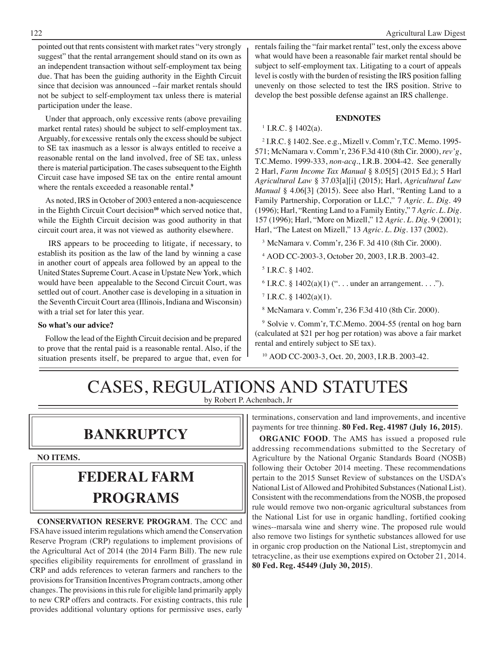pointed out that rents consistent with market rates "very strongly suggest" that the rental arrangement should stand on its own as an independent transaction without self-employment tax being due. That has been the guiding authority in the Eighth Circuit since that decision was announced --fair market rentals should not be subject to self-employment tax unless there is material participation under the lease.

Under that approach, only excessive rents (above prevailing market rental rates) should be subject to self-employment tax. Arguably, for excessive rentals only the excess should be subject to SE tax inasmuch as a lessor is always entitled to receive a reasonable rental on the land involved, free of SE tax, unless there is material participation. The cases subsequent to the Eighth Circuit case have imposed SE tax on the entire rental amount where the rentals exceeded a reasonable rental.<sup>9</sup>

As noted, IRS in October of 2003 entered a non-acquiescence in the Eighth Circuit Court decision**<sup>10</sup>** which served notice that, while the Eighth Circuit decision was good authority in that circuit court area, it was not viewed as authority elsewhere.

 IRS appears to be proceeding to litigate, if necessary, to establish its position as the law of the land by winning a case in another court of appeals area followed by an appeal to the United States Supreme Court. A case in Upstate New York, which would have been appealable to the Second Circuit Court, was settled out of court. Another case is developing in a situation in the Seventh Circuit Court area (Illinois, Indiana and Wisconsin) with a trial set for later this year.

#### **So what's our advice?**

Follow the lead of the Eighth Circuit decision and be prepared to prove that the rental paid is a reasonable rental. Also, if the situation presents itself, be prepared to argue that, even for rentals failing the "fair market rental" test, only the excess above what would have been a reasonable fair market rental should be subject to self-employment tax. Litigating to a court of appeals level is costly with the burden of resisting the IRS position falling unevenly on those selected to test the IRS position. Strive to develop the best possible defense against an IRS challenge.

#### **ENDNOTES**

#### $1$  I.R.C. § 1402(a).

2 I.R.C. § 1402. See. e.g., Mizell v. Comm'r, T.C. Memo. 1995- 571; McNamara v. Comm'r, 236 F.3d 410 (8th Cir. 2000), *rev'g*, T.C.Memo. 1999-333, *non-acq*., I.R.B. 2004-42. See generally 2 Harl, *Farm Income Tax Manual* § 8.05[5] (2015 Ed.); 5 Harl *Agricultural Law* § 37.03[a][i] (2015); Harl, *Agricultural Law Manual* § 4.06[3] (2015). Seee also Harl, "Renting Land to a Family Partnership, Corporation or LLC," 7 *Agric. L. Dig*. 49 (1996); Harl, "Renting Land to a Family Entity," 7 *Agric. L. Dig*. 157 (1996); Harl, "More on Mizell," 12 *Agric. L. Dig.* 9 (2001); Harl, "The Latest on Mizell," 13 *Agric. L. Dig*. 137 (2002).

3 McNamara v. Comm'r, 236 F. 3d 410 (8th Cir. 2000).

4 AOD CC-2003-3, October 20, 2003, I.R.B. 2003-42.

- $6$  I.R.C. § 1402(a)(1) ("... under an arrangement....").
- $7$  I.R.C. § 1402(a)(1).
- 8 McNamara v. Comm'r, 236 F.3d 410 (8th Cir. 2000).

9 Solvie v. Comm'r, T.C.Memo. 2004-55 (rental on hog barn (calculated at \$21 per hog per rotation) was above a fair market rental and entirely subject to SE tax).

10 AOD CC-2003-3, Oct. 20, 2003, I.R.B. 2003-42.

### CASES, REGULATIONS AND STATUTES by Robert P. Achenbach, Jr

### **bankruptcy**

**NO ITEMS.**

## **federal FARM PROGRAMS**

**CONSERVATION RESERVE PROGRAM**. The CCC and FSA have issued interim regulations which amend the Conservation Reserve Program (CRP) regulations to implement provisions of the Agricultural Act of 2014 (the 2014 Farm Bill). The new rule specifies eligibility requirements for enrollment of grassland in CRP and adds references to veteran farmers and ranchers to the provisions for Transition Incentives Program contracts, among other changes. The provisions in this rule for eligible land primarily apply to new CRP offers and contracts. For existing contracts, this rule provides additional voluntary options for permissive uses, early

terminations, conservation and land improvements, and incentive payments for tree thinning. **80 Fed. Reg. 41987 (July 16, 2015)**.

**ORGANIC FOOD**. The AMS has issued a proposed rule addressing recommendations submitted to the Secretary of Agriculture by the National Organic Standards Board (NOSB) following their October 2014 meeting. These recommendations pertain to the 2015 Sunset Review of substances on the USDA's National List of Allowed and Prohibited Substances (National List). Consistent with the recommendations from the NOSB, the proposed rule would remove two non-organic agricultural substances from the National List for use in organic handling, fortified cooking wines--marsala wine and sherry wine. The proposed rule would also remove two listings for synthetic substances allowed for use in organic crop production on the National List, streptomycin and tetracycline, as their use exemptions expired on October 21, 2014. **80 Fed. Reg. 45449 (July 30, 2015)**.

<sup>5</sup> I.R.C. § 1402.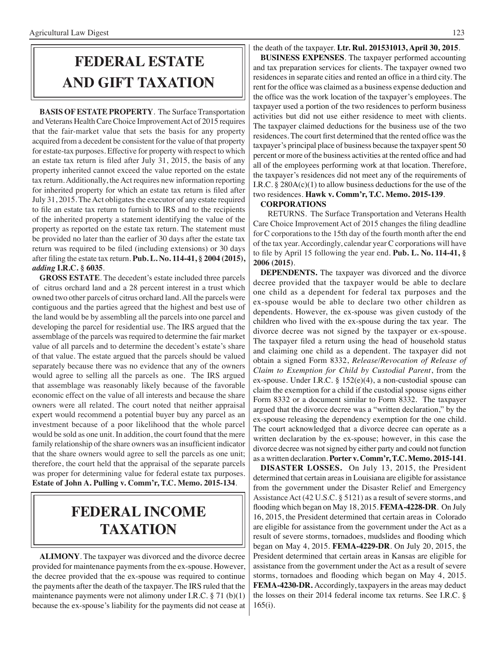## **FEDERAL ESTATE AND GIFT taxation**

**BASIS OF ESTATE PROPERTY**. The Surface Transportation and Veterans Health Care Choice Improvement Act of 2015 requires that the fair-market value that sets the basis for any property acquired from a decedent be consistent for the value of that property for estate-tax purposes. Effective for property with respect to which an estate tax return is filed after July 31, 2015, the basis of any property inherited cannot exceed the value reported on the estate tax return. Additionally, the Act requires new information reporting for inherited property for which an estate tax return is filed after July 31, 2015. The Act obligates the executor of any estate required to file an estate tax return to furnish to IRS and to the recipients of the inherited property a statement identifying the value of the property as reported on the estate tax return. The statement must be provided no later than the earlier of 30 days after the estate tax return was required to be filed (including extensions) or 30 days after filing the estate tax return. **Pub. L. No. 114-41, § 2004 (2015),**  *adding* **I.R.C. § 6035**.

**GROSS ESTATE**. The decedent's estate included three parcels of citrus orchard land and a 28 percent interest in a trust which owned two other parcels of citrus orchard land. All the parcels were contiguous and the parties agreed that the highest and best use of the land would be by assembling all the parcels into one parcel and developing the parcel for residential use. The IRS argued that the assemblage of the parcels was required to determine the fair market value of all parcels and to determine the decedent's estate's share of that value. The estate argued that the parcels should be valued separately because there was no evidence that any of the owners would agree to selling all the parcels as one. The IRS argued that assemblage was reasonably likely because of the favorable economic effect on the value of all interests and because the share owners were all related. The court noted that neither appraisal expert would recommend a potential buyer buy any parcel as an investment because of a poor likelihood that the whole parcel would be sold as one unit. In addition, the court found that the mere family relationship of the share owners was an insufficient indicator that the share owners would agree to sell the parcels as one unit; therefore, the court held that the appraisal of the separate parcels was proper for determining value for federal estate tax purposes. **Estate of John A. Pulling v. Comm'r, T.C. Memo. 2015-134**.

### **federal income taxation**

**ALIMONY**. The taxpayer was divorced and the divorce decree provided for maintenance payments from the ex-spouse. However, the decree provided that the ex-spouse was required to continue the payments after the death of the taxpayer. The IRS ruled that the maintenance payments were not alimony under I.R.C. § 71 (b)(1) because the ex-spouse's liability for the payments did not cease at the death of the taxpayer. **Ltr. Rul. 201531013, April 30, 2015**.

**BUSINESS EXPENSES**. The taxpayer performed accounting and tax preparation services for clients. The taxpayer owned two residences in separate cities and rented an office in a third city. The rent for the office was claimed as a business expense deduction and the office was the work location of the taxpayer's employees. The taxpayer used a portion of the two residences to perform business activities but did not use either residence to meet with clients. The taxpayer claimed deductions for the business use of the two residences. The court first determined that the rented office was the taxpayer's principal place of business because the taxpayer spent 50 percent or more of the business activities at the rented office and had all of the employees performing work at that location. Therefore, the taxpayer's residences did not meet any of the requirements of I.R.C. § 280A(c)(1) to allow business deductions for the use of the two residences. **Hawk v. Comm'r, T.C. Memo. 2015-139**.

#### **CORPORATIONS**

 RETURNS. The Surface Transportation and Veterans Health Care Choice Improvement Act of 2015 changes the filing deadline for C corporations to the 15th day of the fourth month after the end of the tax year. Accordingly, calendar year C corporations will have to file by April 15 following the year end. **Pub. L. No. 114-41, § 2006 (2015)**.

**DEPENDENTS.** The taxpayer was divorced and the divorce decree provided that the taxpayer would be able to declare one child as a dependent for federal tax purposes and the ex-spouse would be able to declare two other children as dependents. However, the ex-spouse was given custody of the children who lived with the ex-spouse during the tax year. The divorce decree was not signed by the taxpayer or ex-spouse. The taxpayer filed a return using the head of household status and claiming one child as a dependent. The taxpayer did not obtain a signed Form 8332, *Release/Revocation of Release of Claim to Exemption for Child by Custodial Parent*, from the ex-spouse. Under I.R.C. § 152(e)(4), a non-custodial spouse can claim the exemption for a child if the custodial spouse signs either Form 8332 or a document similar to Form 8332. The taxpayer argued that the divorce decree was a "written declaration," by the ex-spouse releasing the dependency exemption for the one child. The court acknowledged that a divorce decree can operate as a written declaration by the ex-spouse; however, in this case the divorce decree was not signed by either party and could not function as a written declaration. **Porter v. Comm'r, T.C. Memo. 2015-141**.

**DISASTER LOSSES.** On July 13, 2015, the President determined that certain areas in Louisiana are eligible for assistance from the government under the Disaster Relief and Emergency Assistance Act (42 U.S.C. § 5121) as a result of severe storms, and flooding which began on May 18, 2015. **FEMA-4228-DR**. On July 16, 2015, the President determined that certain areas in Colorado are eligible for assistance from the government under the Act as a result of severe storms, tornadoes, mudslides and flooding which began on May 4, 2015. **FEMA-4229-DR**. On July 20, 2015, the President determined that certain areas in Kansas are eligible for assistance from the government under the Act as a result of severe storms, tornadoes and flooding which began on May 4, 2015. **FEMA-4230-DR.** Accordingly, taxpayers in the areas may deduct the losses on their 2014 federal income tax returns. See I.R.C. § 165(i).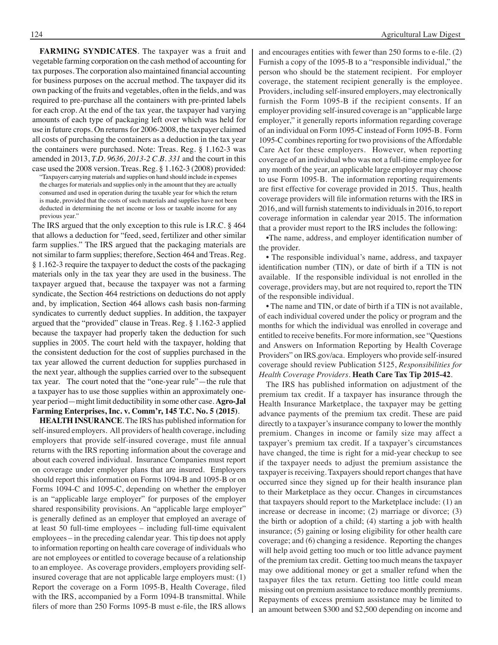**FARMING SYNDICATES**. The taxpayer was a fruit and vegetable farming corporation on the cash method of accounting for tax purposes. The corporation also maintained financial accounting for business purposes on the accrual method. The taxpayer did its own packing of the fruits and vegetables, often in the fields, and was required to pre-purchase all the containers with pre-printed labels for each crop. At the end of the tax year, the taxpayer had varying amounts of each type of packaging left over which was held for use in future crops. On returns for 2006-2008, the taxpayer claimed all costs of purchasing the containers as a deduction in the tax year the containers were purchased. Note: Treas. Reg. § 1.162-3 was amended in 2013, *T.D. 9636, 2013-2 C.B. 331* and the court in this case used the 2008 version. Treas. Reg. § 1.162-3 (2008) provided:

"Taxpayers carrying materials and supplies on hand should include in expenses the charges for materials and supplies only in the amount that they are actually consumed and used in operation during the taxable year for which the return is made, provided that the costs of such materials and supplies have not been deducted in determining the net income or loss or taxable income for any previous year."

The IRS argued that the only exception to this rule is I.R.C. § 464 that allows a deduction for "feed, seed, fertilizer and other similar farm supplies." The IRS argued that the packaging materials are not similar to farm supplies; therefore, Section 464 and Treas. Reg. § 1.162-3 require the taxpayer to deduct the costs of the packaging materials only in the tax year they are used in the business. The taxpayer argued that, because the taxpayer was not a farming syndicate, the Section 464 restrictions on deductions do not apply and, by implication, Section 464 allows cash basis non-farming syndicates to currently deduct supplies. In addition, the taxpayer argued that the "provided" clause in Treas. Reg. § 1.162-3 applied because the taxpayer had properly taken the deduction for such supplies in 2005. The court held with the taxpayer, holding that the consistent deduction for the cost of supplies purchased in the tax year allowed the current deduction for supplies purchased in the next year, although the supplies carried over to the subsequent tax year. The court noted that the "one-year rule"—the rule that a taxpayer has to use those supplies within an approximately oneyear period—might limit deductibility in some other case. **Agro-Jal Farming Enterprises, Inc. v. Comm'r, 145 T.C. No. 5 (2015)**.

**HEALTH INSURANCE**. The IRS has published information for self-insured employers. All providers of health coverage, including employers that provide self-insured coverage, must file annual returns with the IRS reporting information about the coverage and about each covered individual. Insurance Companies must report on coverage under employer plans that are insured. Employers should report this information on Forms 1094-B and 1095-B or on Forms 1094-C and 1095-C, depending on whether the employer is an "applicable large employer" for purposes of the employer shared responsibility provisions. An "applicable large employer" is generally defined as an employer that employed an average of at least 50 full-time employees – including full-time equivalent employees – in the preceding calendar year. This tip does not apply to information reporting on health care coverage of individuals who are not employees or entitled to coverage because of a relationship to an employee. As coverage providers, employers providing selfinsured coverage that are not applicable large employers must: (1) Report the coverage on a Form 1095-B, Health Coverage, filed with the IRS, accompanied by a Form 1094-B transmittal. While filers of more than 250 Forms 1095-B must e-file, the IRS allows and encourages entities with fewer than 250 forms to e-file. (2) Furnish a copy of the 1095-B to a "responsible individual," the person who should be the statement recipient. For employer coverage, the statement recipient generally is the employee. Providers, including self-insured employers, may electronically furnish the Form 1095-B if the recipient consents. If an employer providing self-insured coverage is an "applicable large employer," it generally reports information regarding coverage of an individual on Form 1095-C instead of Form 1095-B. Form 1095-C combines reporting for two provisions of the Affordable Care Act for these employers. However, when reporting coverage of an individual who was not a full-time employee for any month of the year, an applicable large employer may choose to use Form 1095-B. The information reporting requirements are first effective for coverage provided in 2015. Thus, health coverage providers will file information returns with the IRS in 2016, and will furnish statements to individuals in 2016, to report coverage information in calendar year 2015. The information that a provider must report to the IRS includes the following:

•The name, address, and employer identification number of the provider.

• The responsible individual's name, address, and taxpayer identification number (TIN), or date of birth if a TIN is not available. If the responsible individual is not enrolled in the coverage, providers may, but are not required to, report the TIN of the responsible individual.

• The name and TIN, or date of birth if a TIN is not available, of each individual covered under the policy or program and the months for which the individual was enrolled in coverage and entitled to receive benefits. For more information, see "Questions and Answers on Information Reporting by Health Coverage Providers" on IRS.gov/aca. Employers who provide self-insured coverage should review Publication 5125, *Responsibilities for Health Coverage Providers*. **Heath Care Tax Tip 2015-42**.

The IRS has published information on adjustment of the premium tax credit. If a taxpayer has insurance through the Health Insurance Marketplace, the taxpayer may be getting advance payments of the premium tax credit. These are paid directly to a taxpayer's insurance company to lower the monthly premium. Changes in income or family size may affect a taxpayer's premium tax credit. If a taxpayer's circumstances have changed, the time is right for a mid-year checkup to see if the taxpayer needs to adjust the premium assistance the taxpayer is receiving. Taxpayers should report changes that have occurred since they signed up for their health insurance plan to their Marketplace as they occur. Changes in circumstances that taxpayers should report to the Marketplace include: (1) an increase or decrease in income; (2) marriage or divorce; (3) the birth or adoption of a child; (4) starting a job with health insurance; (5) gaining or losing eligibility for other health care coverage; and (6) changing a residence. Reporting the changes will help avoid getting too much or too little advance payment of the premium tax credit. Getting too much means the taxpayer may owe additional money or get a smaller refund when the taxpayer files the tax return. Getting too little could mean missing out on premium assistance to reduce monthly premiums. Repayments of excess premium assistance may be limited to an amount between \$300 and \$2,500 depending on income and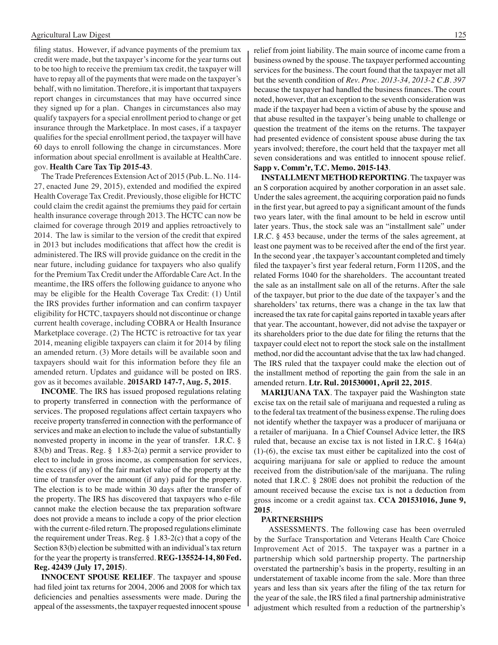filing status. However, if advance payments of the premium tax credit were made, but the taxpayer's income for the year turns out to be too high to receive the premium tax credit, the taxpayer will have to repay all of the payments that were made on the taxpayer's behalf, with no limitation. Therefore, it is important that taxpayers report changes in circumstances that may have occurred since they signed up for a plan. Changes in circumstances also may qualify taxpayers for a special enrollment period to change or get insurance through the Marketplace. In most cases, if a taxpayer qualifies for the special enrollment period, the taxpayer will have 60 days to enroll following the change in circumstances. More information about special enrollment is available at HealthCare. gov. **Health Care Tax Tip 2015-43**.

The Trade Preferences Extension Act of 2015 (Pub. L. No. 114- 27, enacted June 29, 2015), extended and modified the expired Health Coverage Tax Credit. Previously, those eligible for HCTC could claim the credit against the premiums they paid for certain health insurance coverage through 2013. The HCTC can now be claimed for coverage through 2019 and applies retroactively to 2014. The law is similar to the version of the credit that expired in 2013 but includes modifications that affect how the credit is administered. The IRS will provide guidance on the credit in the near future, including guidance for taxpayers who also qualify for the Premium Tax Credit under the Affordable Care Act. In the meantime, the IRS offers the following guidance to anyone who may be eligible for the Health Coverage Tax Credit: (1) Until the IRS provides further information and can confirm taxpayer eligibility for HCTC, taxpayers should not discontinue or change current health coverage, including COBRA or Health Insurance Marketplace coverage. (2) The HCTC is retroactive for tax year 2014, meaning eligible taxpayers can claim it for 2014 by filing an amended return. (3) More details will be available soon and taxpayers should wait for this information before they file an amended return. Updates and guidance will be posted on IRS. gov as it becomes available. **2015ARD 147-7, Aug. 5, 2015**.

**INCOME**. The IRS has issued proposed regulations relating to property transferred in connection with the performance of services. The proposed regulations affect certain taxpayers who receive property transferred in connection with the performance of services and make an election to include the value of substantially nonvested property in income in the year of transfer. I.R.C. § 83(b) and Treas. Reg. § 1.83-2(a) permit a service provider to elect to include in gross income, as compensation for services, the excess (if any) of the fair market value of the property at the time of transfer over the amount (if any) paid for the property. The election is to be made within 30 days after the transfer of the property. The IRS has discovered that taxpayers who e-file cannot make the election because the tax preparation software does not provide a means to include a copy of the prior election with the current e-filed return. The proposed regulations eliminate the requirement under Treas. Reg. § 1.83-2(c) that a copy of the Section 83(b) election be submitted with an individual's tax return for the year the property is transferred. **REG-135524-14, 80 Fed. Reg. 42439 (July 17, 2015)**.

**INNOCENT SPOUSE RELIEF**. The taxpayer and spouse had filed joint tax returns for 2004, 2006 and 2008 for which tax deficiencies and penalties assessments were made. During the appeal of the assessments, the taxpayer requested innocent spouse relief from joint liability. The main source of income came from a business owned by the spouse. The taxpayer performed accounting services for the business. The court found that the taxpayer met all but the seventh condition of *Rev. Proc. 2013-34, 2013-2 C.B. 397* because the taxpayer had handled the business finances. The court noted, however, that an exception to the seventh consideration was made if the taxpayer had been a victim of abuse by the spouse and that abuse resulted in the taxpayer's being unable to challenge or question the treatment of the items on the returns. The taxpayer had presented evidence of consistent spouse abuse during the tax years involved; therefore, the court held that the taxpayer met all seven considerations and was entitled to innocent spouse relief. **Sapp v. Comm'r, T.C. Memo. 2015-143**.

**INSTALLMENT METHOD REPORTING**. The taxpayer was an S corporation acquired by another corporation in an asset sale. Under the sales agreement, the acquiring corporation paid no funds in the first year, but agreed to pay a significant amount of the funds two years later, with the final amount to be held in escrow until later years. Thus, the stock sale was an "installment sale" under I.R.C. § 453 because, under the terms of the sales agreement, at least one payment was to be received after the end of the first year. In the second year , the taxpayer's accountant completed and timely filed the taxpayer's first year federal return, Form 1120S, and the related Forms 1040 for the shareholders. The accountant treated the sale as an installment sale on all of the returns. After the sale of the taxpayer, but prior to the due date of the taxpayer's and the shareholders' tax returns, there was a change in the tax law that increased the tax rate for capital gains reported in taxable years after that year. The accountant, however, did not advise the taxpayer or its shareholders prior to the due date for filing the returns that the taxpayer could elect not to report the stock sale on the installment method, nor did the accountant advise that the tax law had changed. The IRS ruled that the taxpayer could make the election out of the installment method of reporting the gain from the sale in an amended return. **Ltr. Rul. 201530001, April 22, 2015**.

**MARIJUANA TAX**. The taxpayer paid the Washington state excise tax on the retail sale of marijuana and requested a ruling as to the federal tax treatment of the business expense. The ruling does not identify whether the taxpayer was a producer of marijuana or a retailer of marijuana. In a Chief Counsel Advice letter, the IRS ruled that, because an excise tax is not listed in I.R.C. § 164(a) (1)-(6), the excise tax must either be capitalized into the cost of acquiring marijuana for sale or applied to reduce the amount received from the distribution/sale of the marijuana. The ruling noted that I.R.C. § 280E does not prohibit the reduction of the amount received because the excise tax is not a deduction from gross income or a credit against tax. **CCA 201531016, June 9, 2015**.

#### **PARTNERSHIPS**

ASSESSMENTS. The following case has been overruled by the Surface Transportation and Veterans Health Care Choice Improvement Act of 2015. The taxpayer was a partner in a partnership which sold partnership property. The partnership overstated the partnership's basis in the property, resulting in an understatement of taxable income from the sale. More than three years and less than six years after the filing of the tax return for the year of the sale, the IRS filed a final partnership administrative adjustment which resulted from a reduction of the partnership's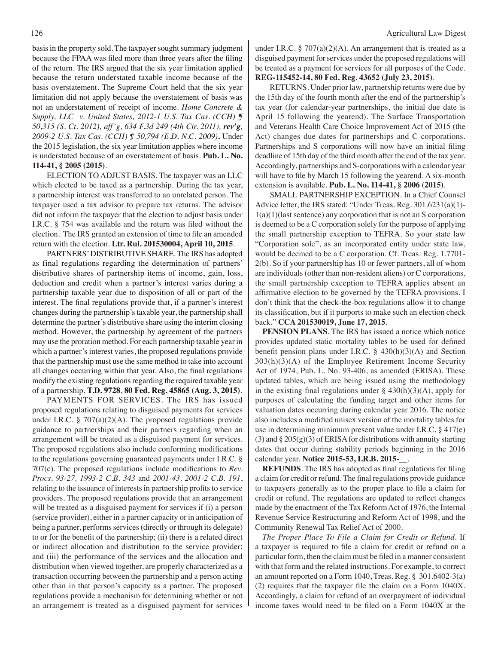basis in the property sold. The taxpayer sought summary judgment because the FPAA was filed more than three years after the filing of the return. The IRS argued that the six year limitation applied because the return understated taxable income because of the basis overstatement. The Supreme Court held that the six year limitation did not apply because the overstatement of basis was not an understatement of receipt of income. *Home Concrete & Supply, LLC v. United States, 2012-1 U.S. Tax Cas. (CCH) ¶ 50,315 (S. Ct. 2012), aff'g, 634 F.3d 249 (4th Cir. 2011), rev'g, 2009-2 U.S. Tax Cas. (CCH) ¶ 50,794 (E.D. N.C. 2009)***.** Under the 2015 legislation, the six year limitation applies where income is understated because of an overstatement of basis. **Pub. L. No. 114-41, § 2005 (2015)**.

 ELECTION TO ADJUST BASIS. The taxpayer was an LLC which elected to be taxed as a partnership. During the tax year, a partnership interest was transferred to an unrelated person. The taxpayer used a tax advisor to prepare tax returns. The advisor did not inform the taxpayer that the election to adjust basis under I.R.C. § 754 was available and the return was filed without the election. The IRS granted an extension of time to file an amended return with the election. **Ltr. Rul. 201530004, April 10, 2015**.

 PARTNERS' DISTRIBUTIVE SHARE. The IRS has adopted as final regulations regarding the determination of partners' distributive shares of partnership items of income, gain, loss, deduction and credit when a partner's interest varies during a partnership taxable year due to disposition of all or part of the interest. The final regulations provide that, if a partner's interest changes during the partnership's taxable year, the partnership shall determine the partner's distributive share using the interim closing method. However, the partnership by agreement of the partners may use the proration method. For each partnership taxable year in which a partner's interest varies, the proposed regulations provide that the partnership must use the same method to take into account all changes occurring within that year. Also, the final regulations modify the existing regulations regarding the required taxable year of a partnership. **T.D. 9728**, **80 Fed. Reg. 45865 (Aug. 3, 2015)**.

 PAYMENTS FOR SERVICES. The IRS has issued proposed regulations relating to disguised payments for services under I.R.C. § 707(a)(2)(A). The proposed regulations provide guidance to partnerships and their partners regarding when an arrangement will be treated as a disguised payment for services. The proposed regulations also include conforming modifications to the regulations governing guaranteed payments under I.R.C. § 707(c). The proposed regulations include modifications to *Rev. Procs. 93-27, 1993-2 C.B. 343* and *2001-43, 2001-2 C.B. 191*, relating to the issuance of interests in partnership profits to service providers. The proposed regulations provide that an arrangement will be treated as a disguised payment for services if (i) a person (service provider), either in a partner capacity or in anticipation of being a partner, performs services (directly or through its delegate) to or for the benefit of the partnership; (ii) there is a related direct or indirect allocation and distribution to the service provider; and (iii) the performance of the services and the allocation and distribution when viewed together, are properly characterized as a transaction occurring between the partnership and a person acting other than in that person's capacity as a partner. The proposed regulations provide a mechanism for determining whether or not an arrangement is treated as a disguised payment for services

under I.R.C.  $\S 707(a)(2)(A)$ . An arrangement that is treated as a disguised payment for services under the proposed regulations will be treated as a payment for services for all purposes of the Code. **REG-115452-14, 80 Fed. Reg. 43652 (July 23, 2015)**.

 RETURNS. Under prior law, partnership returns were due by the 15th day of the fourth month after the end of the partnership's tax year (for calendar-year partnerships, the initial due date is April 15 following the yearend). The Surface Transportation and Veterans Health Care Choice Improvement Act of 2015 (the Act) changes due dates for partnerships and C corporations. Partnerships and S corporations will now have an initial filing deadline of 15th day of the third month after the end of the tax year. Accordingly, partnerships and S-corporations with a calendar year will have to file by March 15 following the yearend. A six-month extension is available. **Pub. L. No. 114-41, § 2006 (2015)**.

 SMALL PARTNERSHIP EXCEPTION. In a Chief Counsel Advice letter, the IRS stated: "Under Treas. Reg. 301.6231(a)(1)-  $1(a)(1)($ last sentence) any corporation that is not an S corporation is deemed to be a C corporation solely for the purpose of applying the small partnership exception to TEFRA. So your state law "Corporation sole", as an incorporated entity under state law, would be deemed to be a C corporation. Cf. Treas. Reg. 1.7701- 2(b). So if your partnership has 10 or fewer partners, all of whom are individuals (other than non-resident aliens) or C corporations, the small partnership exception to TEFRA applies absent an affirmative election to be governed by the TEFRA provisions. I don't think that the check-the-box regulations allow it to change its classification, but if it purports to make such an election check back." **CCA 201530019, June 17, 2015**.

**PENSION PLANS**. The IRS has issued a notice which notice provides updated static mortality tables to be used for defined benefit pension plans under I.R.C. § 430(h)(3)(A) and Section 303(h)(3)(A) of the Employee Retirement Income Security Act of 1974, Pub. L. No. 93-406, as amended (ERISA). These updated tables, which are being issued using the methodology in the existing final regulations under  $\S$  430(h)(3)(A), apply for purposes of calculating the funding target and other items for valuation dates occurring during calendar year 2016. The notice also includes a modified unisex version of the mortality tables for use in determining minimum present value under I.R.C. § 417(e) (3) and  $\S 205(g)(3)$  of ERISA for distributions with annuity starting dates that occur during stability periods beginning in the 2016 calendar year. **Notice 2015-53, I.R.B. 2015-\_\_**.

**REFUNDS**. The IRS has adopted as final regulations for filing a claim for credit or refund. The final regulations provide guidance to taxpayers generally as to the proper place to file a claim for credit or refund. The regulations are updated to reflect changes made by the enactment of the Tax Reform Act of 1976, the Internal Revenue Service Restructuring and Reform Act of 1998, and the Community Renewal Tax Relief Act of 2000.

*The Proper Place To File a Claim for Credit or Refund*. If a taxpayer is required to file a claim for credit or refund on a particular form, then the claim must be filed in a manner consistent with that form and the related instructions. For example, to correct an amount reported on a Form 1040, Treas. Reg. § 301.6402-3(a) (2) requires that the taxpayer file the claim on a Form 1040X. Accordingly, a claim for refund of an overpayment of individual income taxes would need to be filed on a Form 1040X at the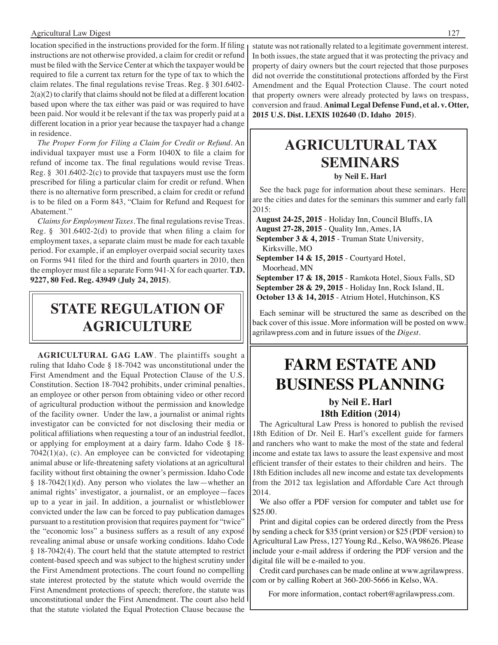#### Agricultural Law Digest 127

location specified in the instructions provided for the form. If filing instructions are not otherwise provided, a claim for credit or refund must be filed with the Service Center at which the taxpayer would be required to file a current tax return for the type of tax to which the claim relates. The final regulations revise Treas. Reg. § 301.6402- 2(a)(2) to clarify that claims should not be filed at a different location based upon where the tax either was paid or was required to have been paid. Nor would it be relevant if the tax was properly paid at a different location in a prior year because the taxpayer had a change in residence.

*The Proper Form for Filing a Claim for Credit or Refund*. An individual taxpayer must use a Form 1040X to file a claim for refund of income tax. The final regulations would revise Treas. Reg. § 301.6402-2(c) to provide that taxpayers must use the form prescribed for filing a particular claim for credit or refund. When there is no alternative form prescribed, a claim for credit or refund is to be filed on a Form 843, "Claim for Refund and Request for Abatement.''

*Claims for Employment Taxes*. The final regulations revise Treas. Reg. § 301.6402-2(d) to provide that when filing a claim for employment taxes, a separate claim must be made for each taxable period. For example, if an employer overpaid social security taxes on Forms 941 filed for the third and fourth quarters in 2010, then the employer must file a separate Form 941-X for each quarter. **T.D. 9227, 80 Fed. Reg. 43949 (July 24, 2015)**.

### **State regulation of agriculture**

**AGRICULTURAL GAG LAW**. The plaintiffs sought a ruling that Idaho Code § 18-7042 was unconstitutional under the First Amendment and the Equal Protection Clause of the U.S. Constitution. Section 18-7042 prohibits, under criminal penalties, an employee or other person from obtaining video or other record of agricultural production without the permission and knowledge of the facility owner. Under the law, a journalist or animal rights investigator can be convicted for not disclosing their media or political affiliations when requesting a tour of an industrial feedlot, or applying for employment at a dairy farm. Idaho Code § 18- 7042(1)(a), (c). An employee can be convicted for videotaping animal abuse or life-threatening safety violations at an agricultural facility without first obtaining the owner's permission. Idaho Code § 18-7042(1)(d). Any person who violates the law—whether an animal rights' investigator, a journalist, or an employee—faces up to a year in jail. In addition, a journalist or whistleblower convicted under the law can be forced to pay publication damages pursuant to a restitution provision that requires payment for "twice" the "economic loss" a business suffers as a result of any exposé revealing animal abuse or unsafe working conditions. Idaho Code § 18-7042(4). The court held that the statute attempted to restrict content-based speech and was subject to the highest scrutiny under the First Amendment protections. The court found no compelling state interest protected by the statute which would override the First Amendment protections of speech; therefore, the statute was unconstitutional under the First Amendment. The court also held that the statute violated the Equal Protection Clause because the

statute was not rationally related to a legitimate government interest. In both issues, the state argued that it was protecting the privacy and property of dairy owners but the court rejected that those purposes did not override the constitutional protections afforded by the First Amendment and the Equal Protection Clause. The court noted that property owners were already protected by laws on trespass, conversion and fraud. **Animal Legal Defense Fund, et al. v. Otter, 2015 U.S. Dist. LEXIS 102640 (D. Idaho 2015)**.

### **Agricultural tax seminars by Neil E. Harl**

See the back page for information about these seminars. Here are the cities and dates for the seminars this summer and early fall 2015:

 **August 24-25, 2015** - Holiday Inn, Council Bluffs, IA  **August 27-28, 2015** - Quality Inn, Ames, IA September 3 & 4, 2015 - Truman State University, Kirksville, MO  **September 14 & 15, 2015** - Courtyard Hotel,

Moorhead, MN

 **September 17 & 18, 2015** - Ramkota Hotel, Sioux Falls, SD  **September 28 & 29, 2015** - Holiday Inn, Rock Island, IL  **October 13 & 14, 2015** - Atrium Hotel, Hutchinson, KS

Each seminar will be structured the same as described on the back cover of this issue. More information will be posted on www. agrilawpress.com and in future issues of the *Digest*.

## **FARM ESTATE AND BUSINESS PLANNING**

#### **by Neil E. Harl 18th Edition (2014)**

The Agricultural Law Press is honored to publish the revised 18th Edition of Dr. Neil E. Harl's excellent guide for farmers and ranchers who want to make the most of the state and federal income and estate tax laws to assure the least expensive and most efficient transfer of their estates to their children and heirs. The 18th Edition includes all new income and estate tax developments from the 2012 tax legislation and Affordable Care Act through 2014.

We also offer a PDF version for computer and tablet use for \$25.00.

Print and digital copies can be ordered directly from the Press by sending a check for \$35 (print version) or \$25 (PDF version) to Agricultural Law Press, 127 Young Rd., Kelso, WA 98626. Please include your e-mail address if ordering the PDF version and the digital file will be e-mailed to you.

Credit card purchases can be made online at www.agrilawpress. com or by calling Robert at 360-200-5666 in Kelso, WA.

For more information, contact robert@agrilawpress.com.